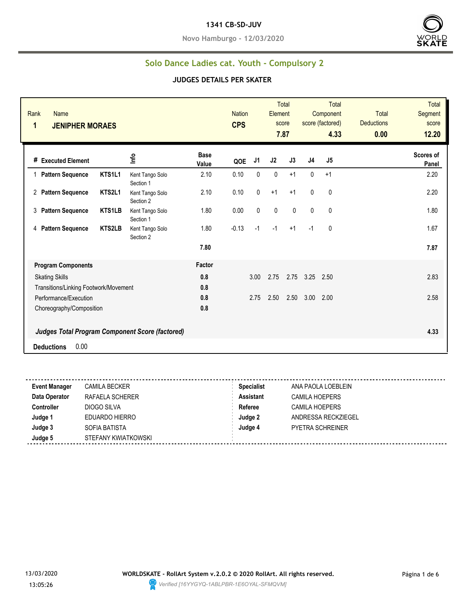**Novo Hamburgo - 12/03/2020**



### **Solo Dance Ladies cat. Youth - Compulsory 2**

| Rank<br><b>Name</b><br>1              | <b>JENIPHER MORAES</b> |                                                        |                      | <b>Nation</b><br><b>CPS</b> |                | Element   | <b>Total</b><br>score<br>7.87 |              | <b>Total</b><br>Component<br>score (factored)<br>4.33 | <b>Total</b><br><b>Deductions</b><br>0.00 | <b>Total</b><br>Segment<br>score<br>12.20 |
|---------------------------------------|------------------------|--------------------------------------------------------|----------------------|-----------------------------|----------------|-----------|-------------------------------|--------------|-------------------------------------------------------|-------------------------------------------|-------------------------------------------|
| # Executed Element                    |                        | Info                                                   | <b>Base</b><br>Value | QOE                         | J <sub>1</sub> | J2        | J3                            | J4           | J5                                                    |                                           | Scores of<br>Panel                        |
| <b>Pattern Sequence</b>               | KTS1L1                 | Kent Tango Solo<br>Section 1                           | 2.10                 | 0.10                        | $\mathbf{0}$   | $\pmb{0}$ | $+1$                          | 0            | $+1$                                                  |                                           | 2.20                                      |
| <b>Pattern Sequence</b><br>2          | KTS2L1                 | Kent Tango Solo<br>Section 2                           | 2.10                 | 0.10                        | 0              | $+1$      | $+1$                          | 0            | $\mathbf 0$                                           |                                           | 2.20                                      |
| 3<br><b>Pattern Sequence</b>          | <b>KTS1LB</b>          | Kent Tango Solo<br>Section 1                           | 1.80                 | 0.00                        | $\mathbf{0}$   | 0         | $\mathbf{0}$                  | $\mathbf{0}$ | $\mathbf{0}$                                          |                                           | 1.80                                      |
| <b>Pattern Sequence</b><br>4          | <b>KTS2LB</b>          | Kent Tango Solo<br>Section 2                           | 1.80                 | $-0.13$                     | $-1$           | $-1$      | $+1$                          | $-1$         | 0                                                     |                                           | 1.67                                      |
|                                       |                        |                                                        | 7.80                 |                             |                |           |                               |              |                                                       |                                           | 7.87                                      |
| <b>Program Components</b>             |                        |                                                        | Factor               |                             |                |           |                               |              |                                                       |                                           |                                           |
| <b>Skating Skills</b>                 |                        |                                                        | 0.8                  |                             | 3.00           | 2.75      | 2.75                          | 3.25         | 2.50                                                  |                                           | 2.83                                      |
| Transitions/Linking Footwork/Movement |                        |                                                        | 0.8                  |                             |                |           |                               |              |                                                       |                                           |                                           |
| Performance/Execution                 |                        |                                                        | 0.8                  |                             | 2.75           | 2.50      | 2.50                          | 3.00         | 2.00                                                  |                                           | 2.58                                      |
| Choreography/Composition              |                        | <b>Judges Total Program Component Score (factored)</b> | 0.8                  |                             |                |           |                               |              |                                                       |                                           | 4.33                                      |
| 0.00<br><b>Deductions</b>             |                        |                                                        |                      |                             |                |           |                               |              |                                                       |                                           |                                           |

| <b>Event Manager</b> | <b>CAMILA BECKER</b> | <b>Specialist</b> | ANA PAOLA LOEBLEIN      |
|----------------------|----------------------|-------------------|-------------------------|
| Data Operator        | RAFAELA SCHERER      | <b>Assistant</b>  | CAMILA HOEPERS          |
| <b>Controller</b>    | DIOGO SILVA          | Referee           | <b>CAMILA HOEPERS</b>   |
| Judge 1              | EDUARDO HIERRO       | Judge 2           | ANDRESSA RECKZIEGEL     |
| Judge 3              | SOFIA BATISTA        | Judge 4           | <b>PYETRA SCHREINER</b> |
| Judge 5              | STEFANY KWIATKOWSKI  |                   |                         |
|                      |                      |                   |                         |

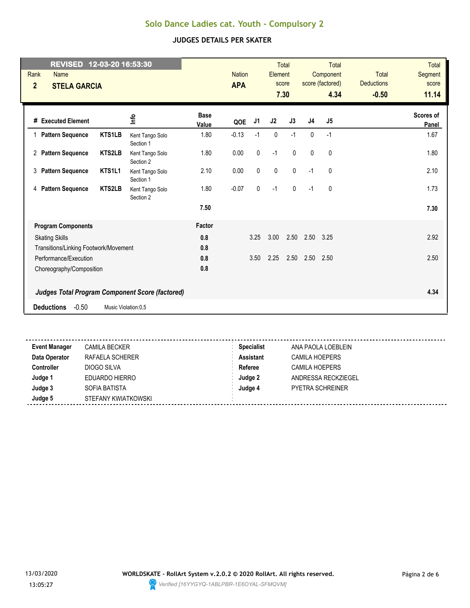| REVISED 12-03-20 16:53:30<br>Rank<br><b>Name</b><br>$\overline{2}$<br><b>STELA GARCIA</b> |                     |                              |                      | <b>Nation</b><br><b>APA</b> |                | Element     | <b>Total</b><br>score<br>7.30 |                | <b>Total</b><br>Component<br>score (factored)<br>4.34 | <b>Total</b><br><b>Deductions</b><br>$-0.50$ | Total<br>Segment<br>score<br>11.14 |
|-------------------------------------------------------------------------------------------|---------------------|------------------------------|----------------------|-----------------------------|----------------|-------------|-------------------------------|----------------|-------------------------------------------------------|----------------------------------------------|------------------------------------|
| # Executed Element                                                                        |                     | 울                            | <b>Base</b><br>Value | QOE                         | J <sub>1</sub> | J2          | J3                            | J <sub>4</sub> | J5                                                    |                                              | Scores of<br>Panel                 |
| <b>Pattern Sequence</b>                                                                   | KTS1LB              | Kent Tango Solo<br>Section 1 | 1.80                 | $-0.13$                     | $-1$           | 0           | $-1$                          | $\mathbf{0}$   | $-1$                                                  |                                              | 1.67                               |
| 2 Pattern Sequence                                                                        | <b>KTS2LB</b>       | Kent Tango Solo<br>Section 2 | 1.80                 | 0.00                        | $\pmb{0}$      | $-1$        | $\mathbf 0$                   | $\mathbf 0$    | $\mathbf 0$                                           |                                              | 1.80                               |
| 3 Pattern Sequence                                                                        | KTS1L1              | Kent Tango Solo<br>Section 1 | 2.10                 | 0.00                        | $\pmb{0}$      | $\mathbf 0$ | $\pmb{0}$                     | $-1$           | $\mathbf 0$                                           |                                              | 2.10                               |
| 4 Pattern Sequence                                                                        | <b>KTS2LB</b>       | Kent Tango Solo<br>Section 2 | 1.80                 | $-0.07$                     | $\mathbf 0$    | $-1$        | $\mathbf 0$                   | $-1$           | 0                                                     |                                              | 1.73                               |
|                                                                                           |                     |                              | 7.50                 |                             |                |             |                               |                |                                                       |                                              | 7.30                               |
| <b>Program Components</b>                                                                 |                     |                              | Factor               |                             |                |             |                               |                |                                                       |                                              |                                    |
| <b>Skating Skills</b>                                                                     |                     |                              | 0.8                  |                             | 3.25           | 3.00        | 2.50                          | 2.50           | 3.25                                                  |                                              | 2.92                               |
| Transitions/Linking Footwork/Movement                                                     |                     |                              | 0.8                  |                             |                |             |                               |                |                                                       |                                              |                                    |
| Performance/Execution                                                                     |                     |                              | 0.8                  |                             | 3.50           | 2.25        | 2.50                          | 2.50           | 2.50                                                  |                                              | 2.50                               |
| Choreography/Composition                                                                  |                     |                              | 0.8                  |                             |                |             |                               |                |                                                       |                                              |                                    |
| <b>Judges Total Program Component Score (factored)</b>                                    |                     |                              |                      |                             |                |             |                               |                |                                                       |                                              | 4.34                               |
| $-0.50$<br><b>Deductions</b>                                                              | Music Violation:0,5 |                              |                      |                             |                |             |                               |                |                                                       |                                              |                                    |
|                                                                                           |                     |                              |                      |                             |                |             |                               |                |                                                       |                                              |                                    |

| <b>Event Manager</b> | <b>CAMILA BECKER</b> | <b>Specialist</b> | ANA PAOLA LOEBLEIN    |
|----------------------|----------------------|-------------------|-----------------------|
| Data Operator        | RAFAELA SCHERER      | <b>Assistant</b>  | <b>CAMILA HOEPERS</b> |
| <b>Controller</b>    | DIOGO SILVA          | Referee           | <b>CAMILA HOEPERS</b> |
| Judge 1              | EDUARDO HIERRO       | Judge 2           | ANDRESSA RECKZIEGEL   |
| Judge 3              | SOFIA BATISTA        | Judge 4           | PYETRA SCHREINER      |
| Judge 5              | STEFANY KWIATKOWSKI  |                   |                       |
|                      |                      |                   |                       |

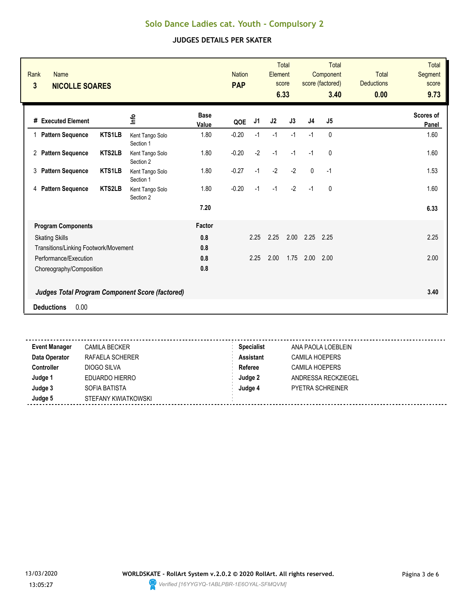| Rank<br><b>Name</b><br>3<br><b>NICOLLE SOARES</b>      |               |                              |                      | <b>Nation</b><br><b>PAP</b> |                | Element        | <b>Total</b><br>score<br>6.33 |                | Total<br>Component<br>score (factored)<br>3.40 | <b>Total</b><br><b>Deductions</b><br>0.00 | <b>Total</b><br>Segment<br>score<br>9.73 |
|--------------------------------------------------------|---------------|------------------------------|----------------------|-----------------------------|----------------|----------------|-------------------------------|----------------|------------------------------------------------|-------------------------------------------|------------------------------------------|
| # Executed Element                                     |               | ٩ų                           | <b>Base</b><br>Value | QOE                         | J <sub>1</sub> | J <sub>2</sub> | J3                            | J <sub>4</sub> | J5                                             |                                           | Scores of<br>Panel                       |
| 1 Pattern Sequence                                     | <b>KTS1LB</b> | Kent Tango Solo<br>Section 1 | 1.80                 | $-0.20$                     | $-1$           | $-1$           | $-1$                          | $-1$           | 0                                              |                                           | 1.60                                     |
| 2 Pattern Sequence                                     | <b>KTS2LB</b> | Kent Tango Solo<br>Section 2 | 1.80                 | $-0.20$                     | $-2$           | $-1$           | $-1$                          | $-1$           | 0                                              |                                           | 1.60                                     |
| <b>Pattern Sequence</b><br>3                           | KTS1LB        | Kent Tango Solo<br>Section 1 | 1.80                 | $-0.27$                     | $-1$           | $-2$           | $-2$                          | $\Omega$       | $-1$                                           |                                           | 1.53                                     |
| <b>Pattern Sequence</b><br>4                           | <b>KTS2LB</b> | Kent Tango Solo<br>Section 2 | 1.80                 | $-0.20$                     | $-1$           | $-1$           | $-2$                          | $-1$           | 0                                              |                                           | 1.60                                     |
|                                                        |               |                              | 7.20                 |                             |                |                |                               |                |                                                |                                           | 6.33                                     |
| <b>Program Components</b>                              |               |                              | Factor               |                             |                |                |                               |                |                                                |                                           |                                          |
| <b>Skating Skills</b>                                  |               |                              | 0.8                  |                             | 2.25           | 2.25           | 2.00                          | 2.25           | 2.25                                           |                                           | 2.25                                     |
| Transitions/Linking Footwork/Movement                  |               |                              | 0.8                  |                             |                |                |                               |                |                                                |                                           |                                          |
| Performance/Execution                                  |               |                              | 0.8                  |                             | 2.25           | 2.00           | 1.75                          | 2.00           | 2.00                                           |                                           | 2.00                                     |
| Choreography/Composition                               |               |                              | 0.8                  |                             |                |                |                               |                |                                                |                                           |                                          |
| <b>Judges Total Program Component Score (factored)</b> |               |                              |                      |                             |                |                |                               |                |                                                |                                           | 3.40                                     |
| 0.00<br><b>Deductions</b>                              |               |                              |                      |                             |                |                |                               |                |                                                |                                           |                                          |
|                                                        |               |                              |                      |                             |                |                |                               |                |                                                |                                           |                                          |

| <b>Event Manager</b> | <b>CAMILA BECKER</b> | <b>Specialist</b> | ANA PAOLA LOEBLEIN      |
|----------------------|----------------------|-------------------|-------------------------|
| Data Operator        | RAFAELA SCHERER      | <b>Assistant</b>  | <b>CAMILA HOEPERS</b>   |
| <b>Controller</b>    | DIOGO SILVA          | Referee           | CAMILA HOEPERS          |
| Judge 1              | EDUARDO HIERRO       | Judge 2           | ANDRESSA RECKZIEGEL     |
| Judge 3              | SOFIA BATISTA        | Judge 4           | <b>PYETRA SCHREINER</b> |
| Judge 5              | STEFANY KWIATKOWSKI  |                   |                         |
|                      |                      |                   |                         |

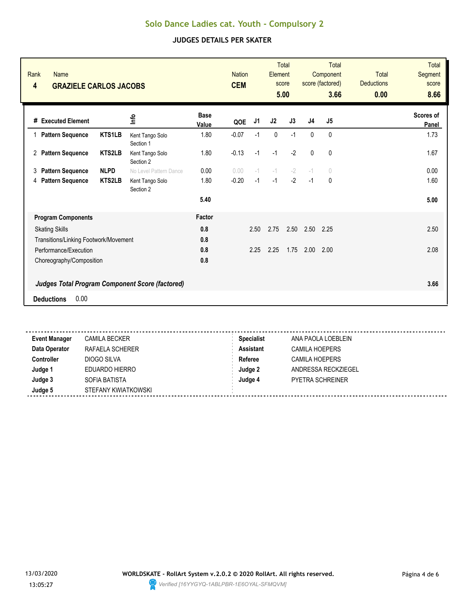| Rank<br><b>Name</b><br>4<br><b>GRAZIELE CARLOS JACOBS</b> |               |                              |                      | <b>Nation</b><br><b>CEM</b> |      | Element     | <b>Total</b><br>score<br>5.00 |              | <b>Total</b><br>Component<br>score (factored)<br>3.66 | <b>Total</b><br><b>Deductions</b><br>0.00 | <b>Total</b><br>Segment<br>score<br>8.66 |
|-----------------------------------------------------------|---------------|------------------------------|----------------------|-----------------------------|------|-------------|-------------------------------|--------------|-------------------------------------------------------|-------------------------------------------|------------------------------------------|
| # Executed Element                                        |               | ۴ů                           | <b>Base</b><br>Value | QOE                         | J1   | J2          | J3                            | J4           | J5                                                    |                                           | Scores of<br>Panel                       |
| 1 Pattern Sequence                                        | <b>KTS1LB</b> | Kent Tango Solo<br>Section 1 | 1.80                 | $-0.07$                     | $-1$ | $\mathbf 0$ | $-1$                          | $\mathbf{0}$ | 0                                                     |                                           | 1.73                                     |
| 2 Pattern Sequence                                        | <b>KTS2LB</b> | Kent Tango Solo<br>Section 2 | 1.80                 | $-0.13$                     | $-1$ | $-1$        | $-2$                          | $\mathbf{0}$ | 0                                                     |                                           | 1.67                                     |
| <b>Pattern Sequence</b><br>3                              | <b>NLPD</b>   | No Level Pattern Dance       | 0.00                 | 0.00                        | $-1$ | $-1$        | $-2$                          | $-1$         | $\bigcirc$                                            |                                           | 0.00                                     |
| <b>Pattern Sequence</b><br>4                              | <b>KTS2LB</b> | Kent Tango Solo<br>Section 2 | 1.80                 | $-0.20$                     | $-1$ | $-1$        | $-2$                          | $-1$         | 0                                                     |                                           | 1.60                                     |
|                                                           |               |                              | 5.40                 |                             |      |             |                               |              |                                                       |                                           | 5.00                                     |
| <b>Program Components</b>                                 |               |                              | Factor               |                             |      |             |                               |              |                                                       |                                           |                                          |
| <b>Skating Skills</b>                                     |               |                              | 0.8                  |                             | 2.50 | 2.75        | 2.50                          | 2.50         | 2.25                                                  |                                           | 2.50                                     |
| Transitions/Linking Footwork/Movement                     |               |                              | 0.8                  |                             |      |             |                               |              |                                                       |                                           |                                          |
| Performance/Execution                                     |               |                              | 0.8                  |                             | 2.25 | 2.25        | 1.75                          | 2.00         | 2.00                                                  |                                           | 2.08                                     |
| Choreography/Composition                                  |               |                              | 0.8                  |                             |      |             |                               |              |                                                       |                                           |                                          |
| <b>Judges Total Program Component Score (factored)</b>    |               |                              |                      |                             |      |             |                               |              |                                                       |                                           | 3.66                                     |
| 0.00<br><b>Deductions</b>                                 |               |                              |                      |                             |      |             |                               |              |                                                       |                                           |                                          |
|                                                           |               |                              |                      |                             |      |             |                               |              |                                                       |                                           |                                          |

| <b>Event Manager</b> | <b>CAMILA BECKER</b> | <b>Specialist</b> | ANA PAOLA LOEBLEIN      |  |
|----------------------|----------------------|-------------------|-------------------------|--|
| Data Operator        | RAFAELA SCHERER      | Assistant         | <b>CAMILA HOEPERS</b>   |  |
| Controller           | DIOGO SILVA          | Referee           | <b>CAMILA HOEPERS</b>   |  |
| Judge 1              | EDUARDO HIERRO       | Judge 2           | ANDRESSA RECKZIEGEL     |  |
| Judge 3              | SOFIA BATISTA        | Judge 4           | <b>PYETRA SCHREINER</b> |  |
| Judge 5              | STEFANY KWIATKOWSKI  |                   |                         |  |
|                      |                      |                   |                         |  |

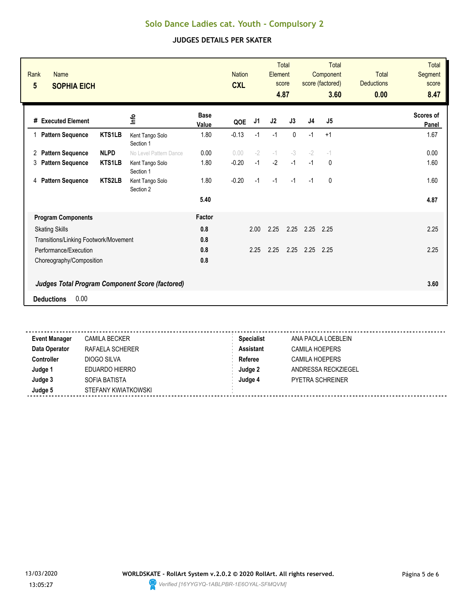| Rank<br><b>Name</b><br>5<br><b>SOPHIA EICH</b>         |                              |                      | <b>Nation</b><br><b>CXL</b> |      | Element        | <b>Total</b><br>score<br>4.87 |                | <b>Total</b><br>Component<br>score (factored)<br>3.60 | <b>Total</b><br><b>Deductions</b><br>0.00 | <b>Total</b><br><b>Segment</b><br>score<br>8.47 |
|--------------------------------------------------------|------------------------------|----------------------|-----------------------------|------|----------------|-------------------------------|----------------|-------------------------------------------------------|-------------------------------------------|-------------------------------------------------|
| # Executed Element                                     | 을                            | <b>Base</b><br>Value | QOE                         | J1   | J <sub>2</sub> | J3                            | J <sub>4</sub> | J <sub>5</sub>                                        |                                           | Scores of<br>Panel                              |
| <b>KTS1LB</b><br><b>Pattern Sequence</b><br>1          | Kent Tango Solo<br>Section 1 | 1.80                 | $-0.13$                     | $-1$ | $-1$           | $\Omega$                      | $-1$           | $+1$                                                  |                                           | 1.67                                            |
| <b>NLPD</b><br><b>Pattern Sequence</b><br>$^{2}$       | No Level Pattern Dance       | 0.00                 | 0.00                        | $-2$ | $-1$           | $-3$                          | $-2$           | $-1$                                                  |                                           | 0.00                                            |
| <b>KTS1LB</b><br><b>Pattern Sequence</b><br>3          | Kent Tango Solo<br>Section 1 | 1.80                 | $-0.20$                     | $-1$ | $-2$           | $-1$                          | $-1$           | $\mathbf{0}$                                          |                                           | 1.60                                            |
| <b>KTS2LB</b><br><b>Pattern Sequence</b><br>4          | Kent Tango Solo<br>Section 2 | 1.80                 | $-0.20$                     | $-1$ | $-1$           | $-1$                          | $-1$           | $\mathbf{0}$                                          |                                           | 1.60                                            |
|                                                        |                              | 5.40                 |                             |      |                |                               |                |                                                       |                                           | 4.87                                            |
| <b>Program Components</b>                              |                              | Factor               |                             |      |                |                               |                |                                                       |                                           |                                                 |
| <b>Skating Skills</b>                                  |                              | 0.8                  |                             | 2.00 | 2.25           | 2.25                          | 2.25           | 2.25                                                  |                                           | 2.25                                            |
| Transitions/Linking Footwork/Movement                  |                              | 0.8                  |                             |      |                |                               |                |                                                       |                                           |                                                 |
| Performance/Execution                                  |                              | 0.8                  |                             | 2.25 | 2.25           | 2.25                          | 2.25           | 2.25                                                  |                                           | 2.25                                            |
| Choreography/Composition                               |                              | 0.8                  |                             |      |                |                               |                |                                                       |                                           |                                                 |
| <b>Judges Total Program Component Score (factored)</b> |                              |                      |                             |      |                |                               |                |                                                       |                                           | 3.60                                            |
| 0.00<br><b>Deductions</b>                              |                              |                      |                             |      |                |                               |                |                                                       |                                           |                                                 |
|                                                        |                              |                      |                             |      |                |                               |                |                                                       |                                           |                                                 |

| <b>Event Manager</b> | <b>CAMILA BECKER</b> | <b>Specialist</b> | ANA PAOLA LOEBLEIN      |
|----------------------|----------------------|-------------------|-------------------------|
| Data Operator        | RAFAELA SCHERER      | <b>Assistant</b>  | CAMILA HOEPERS          |
| Controller           | DIOGO SILVA          | Referee           | CAMILA HOEPERS          |
| Judge 1              | EDUARDO HIERRO       | Judge 2           | ANDRESSA RECKZIEGEL     |
| Judge 3              | SOFIA BATISTA        | Judge 4           | <b>PYETRA SCHREINER</b> |
| Judge 5              | STEFANY KWIATKOWSKI  |                   |                         |
|                      |                      |                   |                         |